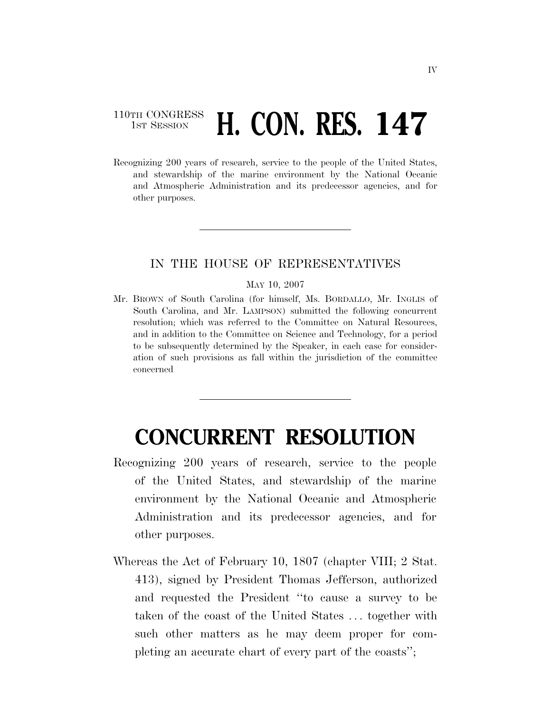## 110TH CONGRESS **1st Session H. CON. RES. 147**

Recognizing 200 years of research, service to the people of the United States, and stewardship of the marine environment by the National Oceanic and Atmospheric Administration and its predecessor agencies, and for other purposes.

## IN THE HOUSE OF REPRESENTATIVES

## MAY 10, 2007

Mr. BROWN of South Carolina (for himself, Ms. BORDALLO, Mr. INGLIS of South Carolina, and Mr. LAMPSON) submitted the following concurrent resolution; which was referred to the Committee on Natural Resources, and in addition to the Committee on Science and Technology, for a period to be subsequently determined by the Speaker, in each case for consideration of such provisions as fall within the jurisdiction of the committee concerned

## **CONCURRENT RESOLUTION**

- Recognizing 200 years of research, service to the people of the United States, and stewardship of the marine environment by the National Oceanic and Atmospheric Administration and its predecessor agencies, and for other purposes.
- Whereas the Act of February 10, 1807 (chapter VIII; 2 Stat. 413), signed by President Thomas Jefferson, authorized and requested the President ''to cause a survey to be taken of the coast of the United States . . . together with such other matters as he may deem proper for completing an accurate chart of every part of the coasts'';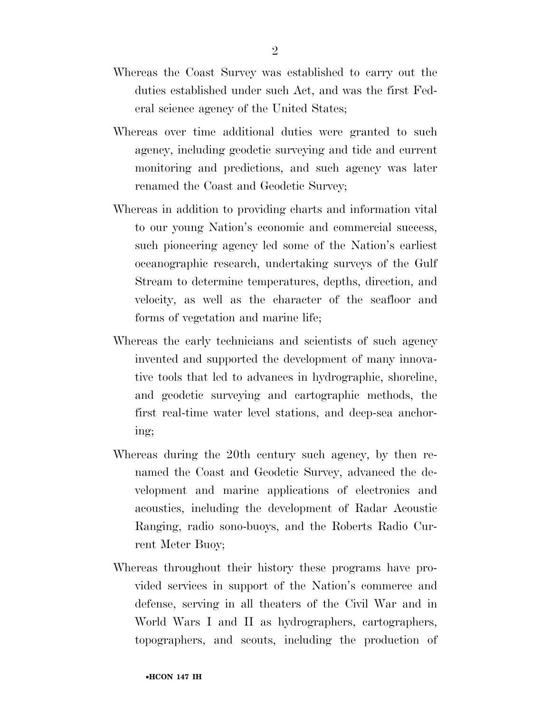- Whereas the Coast Survey was established to carry out the duties established under such Act, and was the first Federal science agency of the United States;
- Whereas over time additional duties were granted to such agency, including geodetic surveying and tide and current monitoring and predictions, and such agency was later renamed the Coast and Geodetic Survey;
- Whereas in addition to providing charts and information vital to our young Nation's economic and commercial success, such pioneering agency led some of the Nation's earliest oceanographic research, undertaking surveys of the Gulf Stream to determine temperatures, depths, direction, and velocity, as well as the character of the seafloor and forms of vegetation and marine life;
- Whereas the early technicians and scientists of such agency invented and supported the development of many innovative tools that led to advances in hydrographic, shoreline, and geodetic surveying and cartographic methods, the first real-time water level stations, and deep-sea anchoring;
- Whereas during the 20th century such agency, by then renamed the Coast and Geodetic Survey, advanced the development and marine applications of electronics and acoustics, including the development of Radar Acoustic Ranging, radio sono-buoys, and the Roberts Radio Current Meter Buoy;
- Whereas throughout their history these programs have provided services in support of the Nation's commerce and defense, serving in all theaters of the Civil War and in World Wars I and II as hydrographers, cartographers, topographers, and scouts, including the production of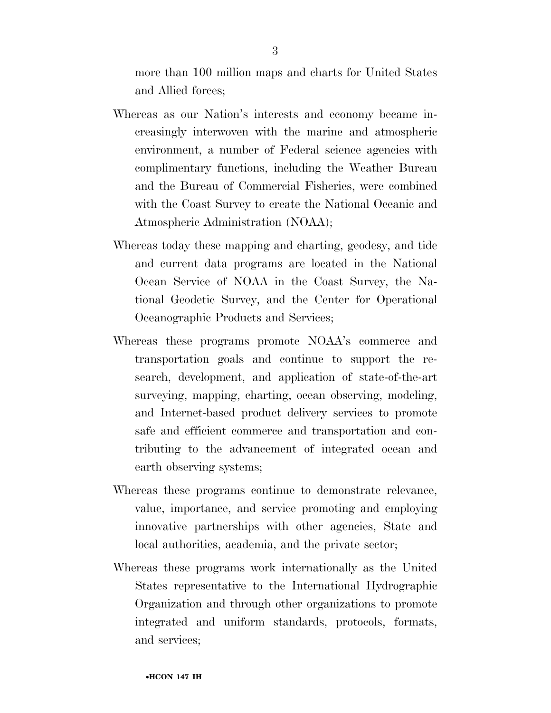more than 100 million maps and charts for United States and Allied forces;

- Whereas as our Nation's interests and economy became increasingly interwoven with the marine and atmospheric environment, a number of Federal science agencies with complimentary functions, including the Weather Bureau and the Bureau of Commercial Fisheries, were combined with the Coast Survey to create the National Oceanic and Atmospheric Administration (NOAA);
- Whereas today these mapping and charting, geodesy, and tide and current data programs are located in the National Ocean Service of NOAA in the Coast Survey, the National Geodetic Survey, and the Center for Operational Oceanographic Products and Services;
- Whereas these programs promote NOAA's commerce and transportation goals and continue to support the research, development, and application of state-of-the-art surveying, mapping, charting, ocean observing, modeling, and Internet-based product delivery services to promote safe and efficient commerce and transportation and contributing to the advancement of integrated ocean and earth observing systems;
- Whereas these programs continue to demonstrate relevance, value, importance, and service promoting and employing innovative partnerships with other agencies, State and local authorities, academia, and the private sector;
- Whereas these programs work internationally as the United States representative to the International Hydrographic Organization and through other organizations to promote integrated and uniform standards, protocols, formats, and services;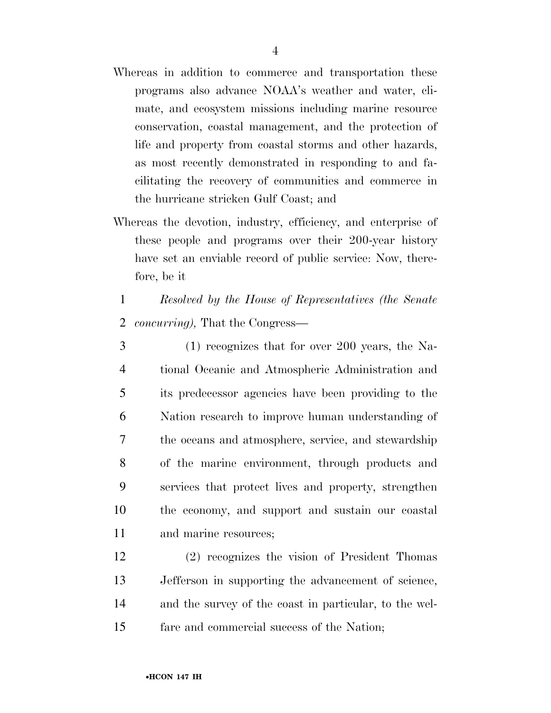- Whereas in addition to commerce and transportation these programs also advance NOAA's weather and water, climate, and ecosystem missions including marine resource conservation, coastal management, and the protection of life and property from coastal storms and other hazards, as most recently demonstrated in responding to and facilitating the recovery of communities and commerce in the hurricane stricken Gulf Coast; and
- Whereas the devotion, industry, efficiency, and enterprise of these people and programs over their 200-year history have set an enviable record of public service: Now, therefore, be it
	- 1 *Resolved by the House of Representatives (the Senate*  2 *concurring),* That the Congress—
- 3 (1) recognizes that for over 200 years, the Na-4 tional Oceanic and Atmospheric Administration and 5 its predecessor agencies have been providing to the 6 Nation research to improve human understanding of 7 the oceans and atmosphere, service, and stewardship 8 of the marine environment, through products and 9 services that protect lives and property, strengthen 10 the economy, and support and sustain our coastal 11 and marine resources;
- 12 (2) recognizes the vision of President Thomas 13 Jefferson in supporting the advancement of science, 14 and the survey of the coast in particular, to the wel-15 fare and commercial success of the Nation;